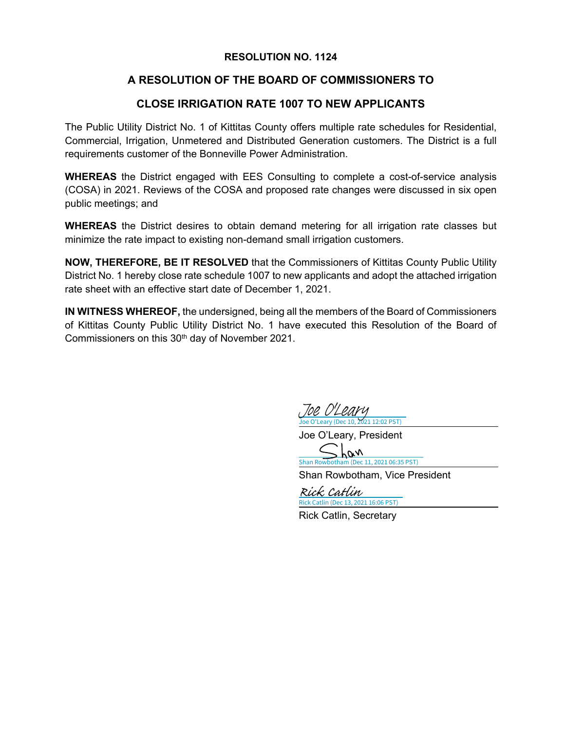#### **RESOLUTION NO. 1124**

## **A RESOLUTION OF THE BOARD OF COMMISSIONERS TO**

## **CLOSE IRRIGATION RATE 1007 TO NEW APPLICANTS**

The Public Utility District No. 1 of Kittitas County offers multiple rate schedules for Residential, Commercial, Irrigation, Unmetered and Distributed Generation customers. The District is a full requirements customer of the Bonneville Power Administration.

**WHEREAS** the District engaged with EES Consulting to complete a cost-of-service analysis (COSA) in 2021. Reviews of the COSA and proposed rate changes were discussed in six open public meetings; and

**WHEREAS** the District desires to obtain demand metering for all irrigation rate classes but minimize the rate impact to existing non-demand small irrigation customers.

**NOW, THEREFORE, BE IT RESOLVED** that the Commissioners of Kittitas County Public Utility District No. 1 hereby close rate schedule 1007 to new applicants and adopt the attached irrigation rate sheet with an effective start date of December 1, 2021.

**IN WITNESS WHEREOF,** the undersigned, being all the members of the Board of Commissioners of Kittitas County Public Utility District No. 1 have executed this Resolution of the Board of Commissioners on this 30<sup>th</sup> day of November 2021.

Joe O'Leary (Dec 10, 2021 12:02 PST) [Joe O'Leary](https://na3.documents.adobe.com/verifier?tx=CBJCHBCAABAAWT9Ft8bU5TyvQujocnWa5pDTIIHgh1DK)

Joe O'Leary, President

han [Shan Rowbotham \(Dec 11, 2021 06:35 PST\)](https://secure.na3.adobesign.com/verifier?tx=CBJCHBCAABAAWT9Ft8bU5TyvQujocnWa5pDTIIHgh1DK)

Shan Rowbotham, Vice President

Rick Catlin (Dec 13, 2021 16:06 PST) [Rick Catlin](https://na3.documents.adobe.com/verifier?tx=CBJCHBCAABAAWT9Ft8bU5TyvQujocnWa5pDTIIHgh1DK)

Rick Catlin, Secretary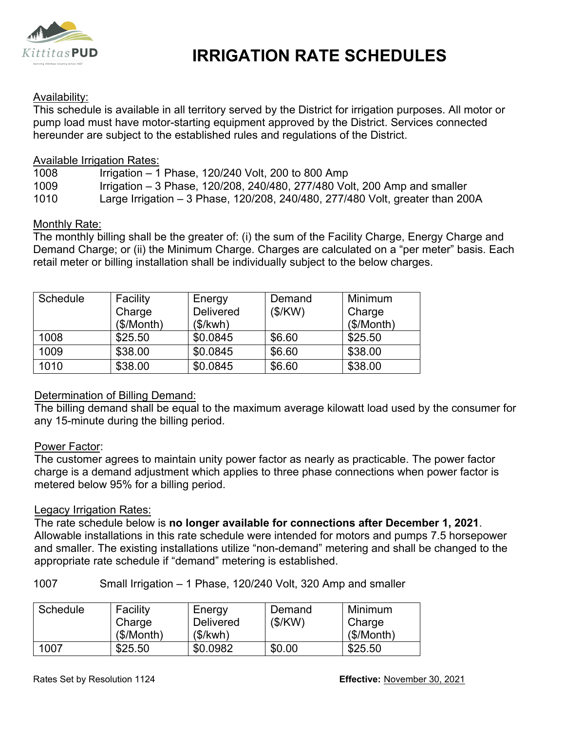

# **IRRIGATION RATE SCHEDULES**

### Availability:

This schedule is available in all territory served by the District for irrigation purposes. All motor or pump load must have motor-starting equipment approved by the District. Services connected hereunder are subject to the established rules and regulations of the District.

#### Available Irrigation Rates:

| 1008 | Irrigation $-1$ Phase, 120/240 Volt, 200 to 800 Amp                       |
|------|---------------------------------------------------------------------------|
| 1009 | Irrigation – 3 Phase, 120/208, 240/480, 277/480 Volt, 200 Amp and smaller |

1010 Large Irrigation – 3 Phase, 120/208, 240/480, 277/480 Volt, greater than 200A

#### Monthly Rate:

The monthly billing shall be the greater of: (i) the sum of the Facility Charge, Energy Charge and Demand Charge; or (ii) the Minimum Charge. Charges are calculated on a "per meter" basis. Each retail meter or billing installation shall be individually subject to the below charges.

| Schedule | Facility   | Energy           | Demand  | Minimum    |
|----------|------------|------------------|---------|------------|
|          | Charge     | <b>Delivered</b> | (\$/KW) | Charge     |
|          | (\$/Month) | (\$/kwh)         |         | (\$/Month) |
| 1008     | \$25.50    | \$0.0845         | \$6.60  | \$25.50    |
| 1009     | \$38.00    | \$0.0845         | \$6.60  | \$38.00    |
| 1010     | \$38.00    | \$0.0845         | \$6.60  | \$38.00    |

#### Determination of Billing Demand:

The billing demand shall be equal to the maximum average kilowatt load used by the consumer for any 15-minute during the billing period.

#### Power Factor:

The customer agrees to maintain unity power factor as nearly as practicable. The power factor charge is a demand adjustment which applies to three phase connections when power factor is metered below 95% for a billing period.

#### Legacy Irrigation Rates:

The rate schedule below is **no longer available for connections after December 1, 2021**. Allowable installations in this rate schedule were intended for motors and pumps 7.5 horsepower and smaller. The existing installations utilize "non-demand" metering and shall be changed to the appropriate rate schedule if "demand" metering is established.

1007 Small Irrigation – 1 Phase, 120/240 Volt, 320 Amp and smaller

| Schedule | Facility  | Energy           | Demand  | Minimum   |
|----------|-----------|------------------|---------|-----------|
|          | Charge    | <b>Delivered</b> | (\$/KW) | Charge    |
|          | (S/Month) | (\$/kwh)         |         | (S/Month) |
| 1007     | \$25.50   | \$0.0982         | \$0.00  | \$25.50   |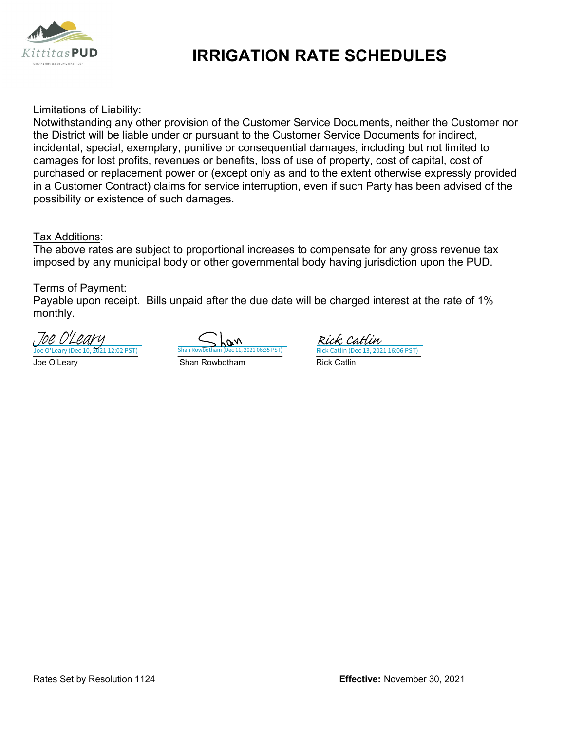

# **IRRIGATION RATE SCHEDULES**

#### Limitations of Liability:

Notwithstanding any other provision of the Customer Service Documents, neither the Customer nor the District will be liable under or pursuant to the Customer Service Documents for indirect, incidental, special, exemplary, punitive or consequential damages, including but not limited to damages for lost profits, revenues or benefits, loss of use of property, cost of capital, cost of purchased or replacement power or (except only as and to the extent otherwise expressly provided in a Customer Contract) claims for service interruption, even if such Party has been advised of the possibility or existence of such damages.

#### Tax Additions:

The above rates are subject to proportional increases to compensate for any gross revenue tax imposed by any municipal body or other governmental body having jurisdiction upon the PUD.

#### Terms of Payment:

Payable upon receipt. Bills unpaid after the due date will be charged interest at the rate of 1% monthly.

Joe O'Leary (Dec 10, 2021 12:02 PST) Shan Rowbotham (Dec 11, 2021 06:35 PST) Rick Catlin (Dec 13, 2021 16:06 PST) <u>Joe O'Leary Communist Communist Communist Communist Communist Communist Communist Communist Communist Communist</u> Joe O'Leary (Dec 10, 2021 12:02 PST) [Joe O'Leary](https://na3.documents.adobe.com/verifier?tx=CBJCHBCAABAAWT9Ft8bU5TyvQujocnWa5pDTIIHgh1DK)

 $\overline{\mathscr{M}}$ 

Rick Catlin